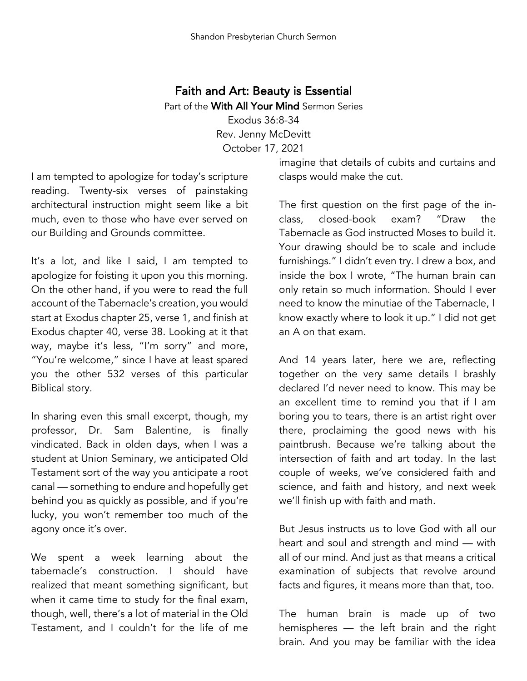## Faith and Art: Beauty is Essential Part of the With All Your Mind Sermon Series Exodus 36:8-34 Rev. Jenny McDevitt October 17, 2021

I am tempted to apologize for today's scripture reading. Twenty-six verses of painstaking architectural instruction might seem like a bit much, even to those who have ever served on our Building and Grounds committee.

It's a lot, and like I said, I am tempted to apologize for foisting it upon you this morning. On the other hand, if you were to read the full account of the Tabernacle's creation, you would start at Exodus chapter 25, verse 1, and finish at Exodus chapter 40, verse 38. Looking at it that way, maybe it's less, "I'm sorry" and more, "You're welcome," since I have at least spared you the other 532 verses of this particular Biblical story.

In sharing even this small excerpt, though, my professor, Dr. Sam Balentine, is finally vindicated. Back in olden days, when I was a student at Union Seminary, we anticipated Old Testament sort of the way you anticipate a root canal — something to endure and hopefully get behind you as quickly as possible, and if you're lucky, you won't remember too much of the agony once it's over.

We spent a week learning about the tabernacle's construction. I should have realized that meant something significant, but when it came time to study for the final exam, though, well, there's a lot of material in the Old Testament, and I couldn't for the life of me

imagine that details of cubits and curtains and clasps would make the cut.

The first question on the first page of the inclass, closed-book exam? "Draw the Tabernacle as God instructed Moses to build it. Your drawing should be to scale and include furnishings." I didn't even try. I drew a box, and inside the box I wrote, "The human brain can only retain so much information. Should I ever need to know the minutiae of the Tabernacle, I know exactly where to look it up." I did not get an A on that exam.

And 14 years later, here we are, reflecting together on the very same details I brashly declared I'd never need to know. This may be an excellent time to remind you that if I am boring you to tears, there is an artist right over there, proclaiming the good news with his paintbrush. Because we're talking about the intersection of faith and art today. In the last couple of weeks, we've considered faith and science, and faith and history, and next week we'll finish up with faith and math.

But Jesus instructs us to love God with all our heart and soul and strength and mind — with all of our mind. And just as that means a critical examination of subjects that revolve around facts and figures, it means more than that, too.

The human brain is made up of two hemispheres — the left brain and the right brain. And you may be familiar with the idea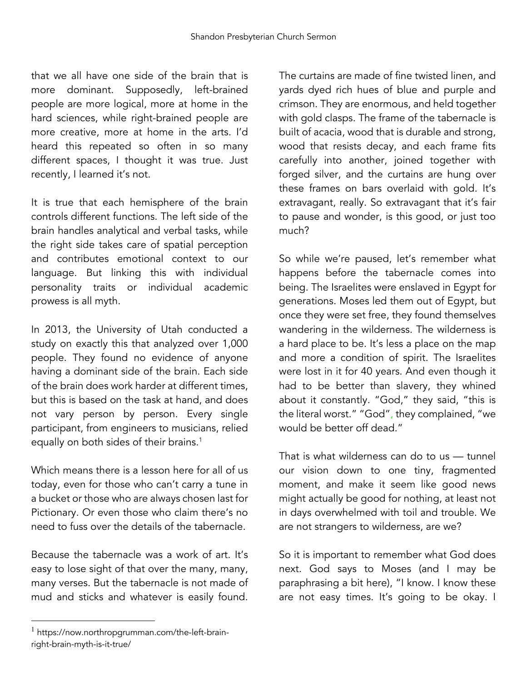that we all have one side of the brain that is more dominant. Supposedly, left-brained people are more logical, more at home in the hard sciences, while right-brained people are more creative, more at home in the arts. I'd heard this repeated so often in so many different spaces, I thought it was true. Just recently, I learned it's not.

It is true that each hemisphere of the brain controls different functions. The left side of the brain handles analytical and verbal tasks, while the right side takes care of spatial perception and contributes emotional context to our language. But linking this with individual personality traits or individual academic prowess is all myth.

In 2013, the University of Utah conducted a study on exactly this that analyzed over 1,000 people. They found no evidence of anyone having a dominant side of the brain. Each side of the brain does work harder at different times, but this is based on the task at hand, and does not vary person by person. Every single participant, from engineers to musicians, relied equally on both sides of their brains.<sup>1</sup>

Which means there is a lesson here for all of us today, even for those who can't carry a tune in a bucket or those who are always chosen last for Pictionary. Or even those who claim there's no need to fuss over the details of the tabernacle.

Because the tabernacle was a work of art. It's easy to lose sight of that over the many, many, many verses. But the tabernacle is not made of mud and sticks and whatever is easily found.

The curtains are made of fine twisted linen, and yards dyed rich hues of blue and purple and crimson. They are enormous, and held together with gold clasps. The frame of the tabernacle is built of acacia, wood that is durable and strong, wood that resists decay, and each frame fits carefully into another, joined together with forged silver, and the curtains are hung over these frames on bars overlaid with gold. It's extravagant, really. So extravagant that it's fair to pause and wonder, is this good, or just too much?

So while we're paused, let's remember what happens before the tabernacle comes into being. The Israelites were enslaved in Egypt for generations. Moses led them out of Egypt, but once they were set free, they found themselves wandering in the wilderness. The wilderness is a hard place to be. It's less a place on the map and more a condition of spirit. The Israelites were lost in it for 40 years. And even though it had to be better than slavery, they whined about it constantly. "God," they said, "this is the literal worst." "God", they complained, "we would be better off dead."

That is what wilderness can do to us — tunnel our vision down to one tiny, fragmented moment, and make it seem like good news might actually be good for nothing, at least not in days overwhelmed with toil and trouble. We are not strangers to wilderness, are we?

So it is important to remember what God does next. God says to Moses (and I may be paraphrasing a bit here), "I know. I know these are not easy times. It's going to be okay. I

<sup>&</sup>lt;sup>1</sup> https://now.northropgrumman.com/the-left-brainright-brain-myth-is-it-true/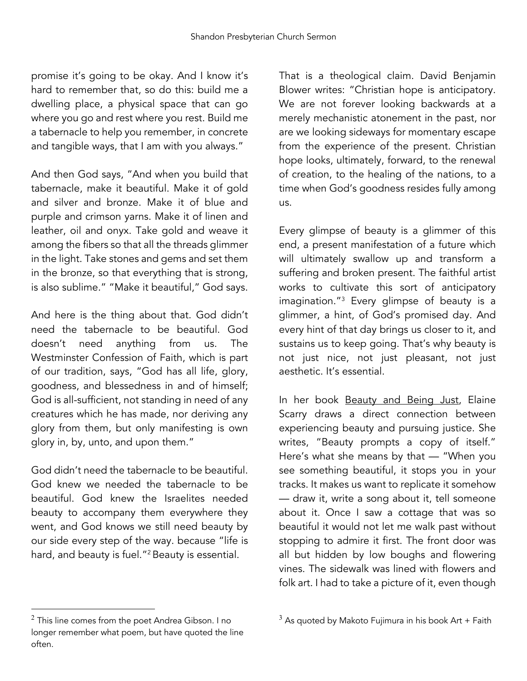promise it's going to be okay. And I know it's hard to remember that, so do this: build me a dwelling place, a physical space that can go where you go and rest where you rest. Build me a tabernacle to help you remember, in concrete and tangible ways, that I am with you always."

And then God says, "And when you build that tabernacle, make it beautiful. Make it of gold and silver and bronze. Make it of blue and purple and crimson yarns. Make it of linen and leather, oil and onyx. Take gold and weave it among the fibers so that all the threads glimmer in the light. Take stones and gems and set them in the bronze, so that everything that is strong, is also sublime." "Make it beautiful," God says.

And here is the thing about that. God didn't need the tabernacle to be beautiful. God doesn't need anything from us. The Westminster Confession of Faith, which is part of our tradition, says, "God has all life, glory, goodness, and blessedness in and of himself; God is all-sufficient, not standing in need of any creatures which he has made, nor deriving any glory from them, but only manifesting is own glory in, by, unto, and upon them."

God didn't need the tabernacle to be beautiful. God knew we needed the tabernacle to be beautiful. God knew the Israelites needed beauty to accompany them everywhere they went, and God knows we still need beauty by our side every step of the way. because "life is hard, and beauty is fuel."2 Beauty is essential.

That is a theological claim. David Benjamin Blower writes: "Christian hope is anticipatory. We are not forever looking backwards at a merely mechanistic atonement in the past, nor are we looking sideways for momentary escape from the experience of the present. Christian hope looks, ultimately, forward, to the renewal of creation, to the healing of the nations, to a time when God's goodness resides fully among us.

Every glimpse of beauty is a glimmer of this end, a present manifestation of a future which will ultimately swallow up and transform a suffering and broken present. The faithful artist works to cultivate this sort of anticipatory imagination."3 Every glimpse of beauty is a glimmer, a hint, of God's promised day. And every hint of that day brings us closer to it, and sustains us to keep going. That's why beauty is not just nice, not just pleasant, not just aesthetic. It's essential.

In her book **Beauty and Being Just**, Elaine Scarry draws a direct connection between experiencing beauty and pursuing justice. She writes, "Beauty prompts a copy of itself." Here's what she means by that — "When you see something beautiful, it stops you in your tracks. It makes us want to replicate it somehow — draw it, write a song about it, tell someone about it. Once I saw a cottage that was so beautiful it would not let me walk past without stopping to admire it first. The front door was all but hidden by low boughs and flowering vines. The sidewalk was lined with flowers and folk art. I had to take a picture of it, even though

 $2$  This line comes from the poet Andrea Gibson. I no longer remember what poem, but have quoted the line often.

 $3$  As quoted by Makoto Fujimura in his book Art + Faith